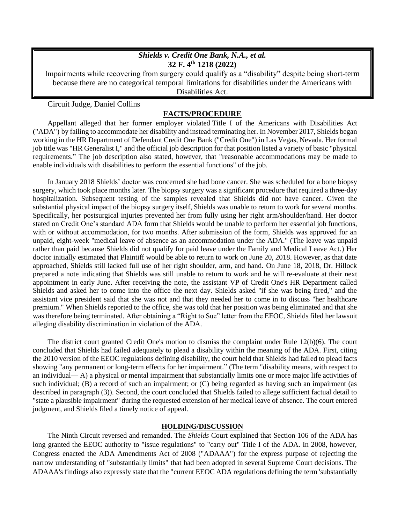## *Shields v. Credit One Bank, N.A., et al.* **32 F. 4th 1218 (2022)**

Impairments while recovering from surgery could qualify as a "disability" despite being short-term because there are no categorical temporal limitations for disabilities under the Americans with Disabilities Act.

Circuit Judge, Daniel Collins

## **FACTS/PROCEDURE**

Appellant alleged that her former employer violated Title I of the Americans with [Disabilities](https://advance.lexis.com/search/?pdmfid=1000516&crid=99e4475c-a1d6-41c9-a820-e5d09a64dd7e&pdsearchterms=Shields+v.+Credit+One+Bank%2c+N.A.%2c+32+F.4th+1218&pdtypeofsearch=searchboxclick&pdsearchtype=SearchBox&pdstartin=&pdpsf=&pdqttype=and&pdquerytemplateid=&ecomp=bbr5kkk&earg=pdsf&prid=7520a592-59ff-432e-84e2-3e45dba5fe12&srid=47fa848d-dcd2-4a6b-8eed-0ea0d1c6fbd2) Act [\("ADA"\)](https://advance.lexis.com/search/?pdmfid=1000516&crid=99e4475c-a1d6-41c9-a820-e5d09a64dd7e&pdsearchterms=Shields+v.+Credit+One+Bank%2c+N.A.%2c+32+F.4th+1218&pdtypeofsearch=searchboxclick&pdsearchtype=SearchBox&pdstartin=&pdpsf=&pdqttype=and&pdquerytemplateid=&ecomp=bbr5kkk&earg=pdsf&prid=7520a592-59ff-432e-84e2-3e45dba5fe12&srid=47fa848d-dcd2-4a6b-8eed-0ea0d1c6fbd2) by failing to accommodate her disability and instead terminating her. In November 2017, Shields began working in the HR Department of Defendant Credit One Bank ("Credit One") in Las Vegas, Nevada. Her formal job title was "HR Generalist I," and the official job description for that position listed a variety of basic "physical requirements." The job description also stated, however, that "reasonable accommodations may be made to enable individuals with disabilities to perform the essential functions" of the job.

In January 2018 Shields' doctor was concerned she had bone cancer. She was scheduled for a bone biopsy surgery, which took place months later. The biopsy surgery was a significant procedure that required a three-day hospitalization. Subsequent testing of the samples revealed that Shields did not have cancer. Given the substantial physical impact of the biopsy surgery itself, Shields was unable to return to work for several months. Specifically, her postsurgical injuries prevented her from fully using her right arm/shoulder/hand. Her doctor stated on Credit One's standard ADA form that Shields would be unable to perform her essential job functions, with or without accommodation, for two months. After submission of the form, Shields was approved for an unpaid, eight-week "medical leave of absence as an accommodation under the ADA." (The leave was unpaid rather than paid because Shields did not qualify for paid leave under the Family and Medical Leave Act.) Her doctor initially estimated that Plaintiff would be able to return to work on June 20, 2018. However, as that date approached, Shields still lacked full use of her right shoulder, arm, and hand. On June 18, 2018, Dr. Hillock prepared a note indicating that Shields was still unable to return to work and he will re-evaluate at their next appointment in early June. After receiving the note, the assistant VP of Credit One's HR Department called Shields and asked her to come into the office the next day. Shields asked "if she was being fired," and the assistant vice president said that she was not and that they needed her to come in to discuss "her healthcare premium." When Shields reported to the office, she was told that her position was being eliminated and that she was therefore being terminated. After obtaining a "Right to Sue" letter from the EEOC, Shields filed her lawsuit alleging disability discrimination in violation of the ADA.

The district court granted Credit One's motion to dismiss the complaint under Rule [12\(b\)\(6\).](https://advance.lexis.com/search/?pdmfid=1000516&crid=761893dd-4bf7-4f27-b11b-a59d5ebede1f&pdsearchterms=Shields+v.+Credit+One+Bank%2c+N.A.%2c+32+F.4th+1218&pdtypeofsearch=searchboxclick&pdsearchtype=SearchBox&pdstartin=&pdpsf=&pdqttype=and&pdquerytemplateid=&ecomp=bbr5kkk&earg=pdsf&prid=99e4475c-a1d6-41c9-a820-e5d09a64dd7e&srid=524f72be-21c3-48ba-9c3a-b8ecb91100a6&cbc=0) The court concluded that Shields had failed adequately to plead a disability within the meaning of the ADA. First, citing the 2010 version of the EEOC regulations defining disability, the court held that Shields had failed to plead facts showing "any permanent or long-term effects for her impairment." (The term "disability means, with respect to an individual— A) a physical or mental impairment that substantially limits one or more major life activities of such individual; (B) a record of such an impairment; or (C) being regarded as having such an impairment (as described in paragraph (3)). Second, the court concluded that Shields failed to allege sufficient factual detail to "state a plausible impairment" during the requested extension of her medical leave of absence. The court entered judgment, and Shields filed a timely notice of appeal.

## **HOLDING/DISCUSSION**

The Ninth Circuit reversed and remanded. The *Shields* Court explained that [Section](https://advance.lexis.com/search/?pdmfid=1000516&crid=761893dd-4bf7-4f27-b11b-a59d5ebede1f&pdsearchterms=Shields+v.+Credit+One+Bank%2c+N.A.%2c+32+F.4th+1218&pdtypeofsearch=searchboxclick&pdsearchtype=SearchBox&pdstartin=&pdpsf=&pdqttype=and&pdquerytemplateid=&ecomp=bbr5kkk&earg=pdsf&prid=99e4475c-a1d6-41c9-a820-e5d09a64dd7e&srid=524f72be-21c3-48ba-9c3a-b8ecb91100a6&cbc=0) 106 of the ADA has long granted the EEOC authority to "issue regulations" to "carry out" Title I of the ADA. In 2008, however, Congress enacted the ADA Amendments Act of 2008 ("ADAAA") for the express purpose of rejecting the narrow understanding of "substantially limits" that had been adopted in several Supreme Court decisions. The ADAAA's findings also expressly state that the "current EEOC ADA regulations defining the term 'substantially